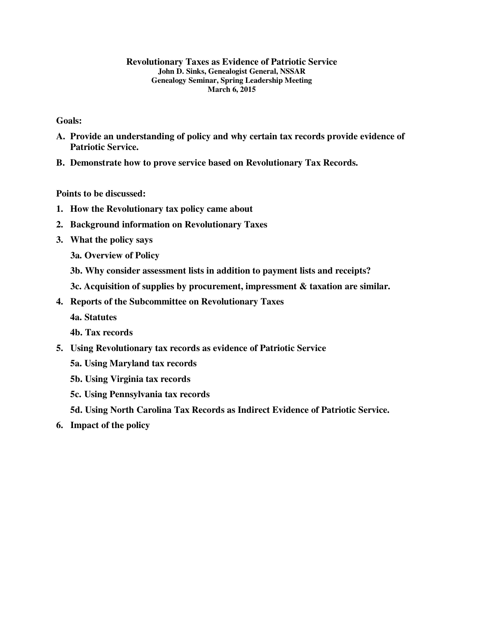#### **Revolutionary Taxes as Evidence of Patriotic Service John D. Sinks, Genealogist General, NSSAR Genealogy Seminar, Spring Leadership Meeting March 6, 2015**

**Goals:** 

- **A. Provide an understanding of policy and why certain tax records provide evidence of Patriotic Service.**
- **B. Demonstrate how to prove service based on Revolutionary Tax Records.**

**Points to be discussed:** 

- **1. How the Revolutionary tax policy came about**
- **2. Background information on Revolutionary Taxes**
- **3. What the policy says** 
	- **3a. Overview of Policy**
	- **3b. Why consider assessment lists in addition to payment lists and receipts?**
	- **3c. Acquisition of supplies by procurement, impressment & taxation are similar.**
- **4. Reports of the Subcommittee on Revolutionary Taxes** 
	- **4a. Statutes**
	- **4b. Tax records**
- **5. Using Revolutionary tax records as evidence of Patriotic Service** 
	- **5a. Using Maryland tax records**
	- **5b. Using Virginia tax records**
	- **5c. Using Pennsylvania tax records**
	- **5d. Using North Carolina Tax Records as Indirect Evidence of Patriotic Service.**
- **6. Impact of the policy**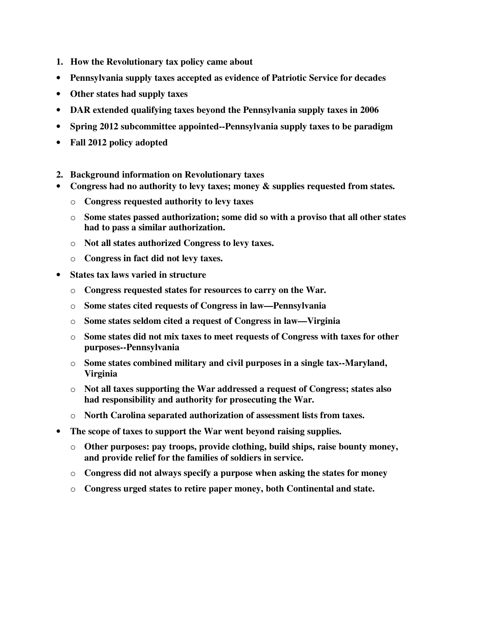- **1. How the Revolutionary tax policy came about**
- **Pennsylvania supply taxes accepted as evidence of Patriotic Service for decades**
- **Other states had supply taxes**
- **DAR extended qualifying taxes beyond the Pennsylvania supply taxes in 2006**
- **Spring 2012 subcommittee appointed--Pennsylvania supply taxes to be paradigm**
- **Fall 2012 policy adopted**
- **2. Background information on Revolutionary taxes**
- **Congress had no authority to levy taxes; money & supplies requested from states.** 
	- o **Congress requested authority to levy taxes**
	- o **Some states passed authorization; some did so with a proviso that all other states had to pass a similar authorization.**
	- o **Not all states authorized Congress to levy taxes.**
	- o **Congress in fact did not levy taxes.**
- **States tax laws varied in structure** 
	- o **Congress requested states for resources to carry on the War.**
	- o **Some states cited requests of Congress in law—Pennsylvania**
	- o **Some states seldom cited a request of Congress in law—Virginia**
	- o **Some states did not mix taxes to meet requests of Congress with taxes for other purposes--Pennsylvania**
	- o **Some states combined military and civil purposes in a single tax--Maryland, Virginia**
	- o **Not all taxes supporting the War addressed a request of Congress; states also had responsibility and authority for prosecuting the War.**
	- o **North Carolina separated authorization of assessment lists from taxes.**
- **The scope of taxes to support the War went beyond raising supplies.** 
	- o **Other purposes: pay troops, provide clothing, build ships, raise bounty money, and provide relief for the families of soldiers in service.**
	- o **Congress did not always specify a purpose when asking the states for money**
	- o **Congress urged states to retire paper money, both Continental and state.**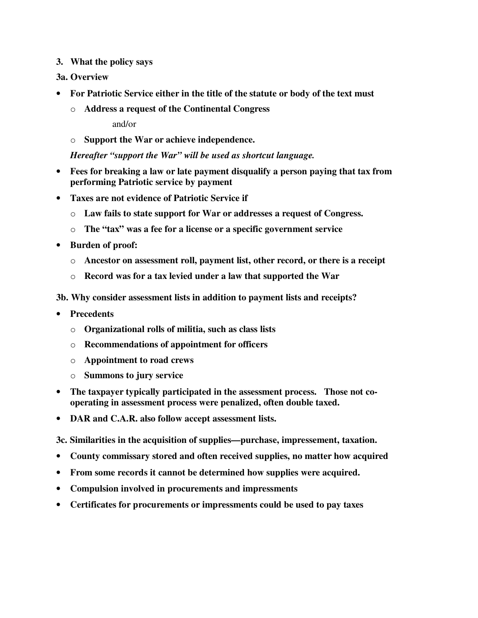**3. What the policy says** 

## **3a. Overview**

- **For Patriotic Service either in the title of the statute or body of the text must** 
	- o **Address a request of the Continental Congress**

and/or

o **Support the War or achieve independence.** 

*Hereafter "support the War" will be used as shortcut language.* 

- **Fees for breaking a law or late payment disqualify a person paying that tax from performing Patriotic service by payment**
- **Taxes are not evidence of Patriotic Service if** 
	- o **Law fails to state support for War or addresses a request of Congress.**
	- o **The "tax" was a fee for a license or a specific government service**
- **Burden of proof:** 
	- o **Ancestor on assessment roll, payment list, other record, or there is a receipt**
	- o **Record was for a tax levied under a law that supported the War**

**3b. Why consider assessment lists in addition to payment lists and receipts?** 

- **Precedents** 
	- o **Organizational rolls of militia, such as class lists**
	- o **Recommendations of appointment for officers**
	- o **Appointment to road crews**
	- o **Summons to jury service**
- **The taxpayer typically participated in the assessment process. Those not cooperating in assessment process were penalized, often double taxed.**
- **DAR and C.A.R. also follow accept assessment lists.**

**3c. Similarities in the acquisition of supplies—purchase, impressement, taxation.** 

- **County commissary stored and often received supplies, no matter how acquired**
- **From some records it cannot be determined how supplies were acquired.**
- **Compulsion involved in procurements and impressments**
- **Certificates for procurements or impressments could be used to pay taxes**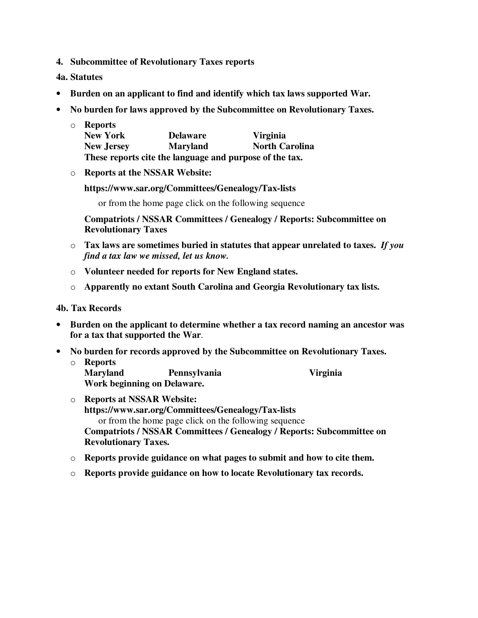**4. Subcommittee of Revolutionary Taxes reports** 

**4a. Statutes** 

- **Burden on an applicant to find and identify which tax laws supported War.**
- **No burden for laws approved by the Subcommittee on Revolutionary Taxes.**

|  | $\circ$ Reports                                         |                 |                       |
|--|---------------------------------------------------------|-----------------|-----------------------|
|  | <b>New York</b>                                         | <b>Delaware</b> | <b>Virginia</b>       |
|  | <b>New Jersey</b>                                       | <b>Maryland</b> | <b>North Carolina</b> |
|  | These reports cite the language and purpose of the tax. |                 |                       |

o **Reports at the NSSAR Website:** 

**https://www.sar.org/Committees/Genealogy/Tax-lists** 

or from the home page click on the following sequence

**Compatriots / NSSAR Committees / Genealogy / Reports: Subcommittee on Revolutionary Taxes** 

- o **Tax laws are sometimes buried in statutes that appear unrelated to taxes.** *If you find a tax law we missed, let us know.*
- o **Volunteer needed for reports for New England states.**
- o **Apparently no extant South Carolina and Georgia Revolutionary tax lists.**

#### **4b. Tax Records**

- **Burden on the applicant to determine whether a tax record naming an ancestor was for a tax that supported the War**.
- **No burden for records approved by the Subcommittee on Revolutionary Taxes.**
	- o **Reports Maryland Pennsylvania Virginia Work beginning on Delaware.**

- o **Reports at NSSAR Website: https://www.sar.org/Committees/Genealogy/Tax-lists**  or from the home page click on the following sequence **Compatriots / NSSAR Committees / Genealogy / Reports: Subcommittee on Revolutionary Taxes.**
- o **Reports provide guidance on what pages to submit and how to cite them.**
- o **Reports provide guidance on how to locate Revolutionary tax records.**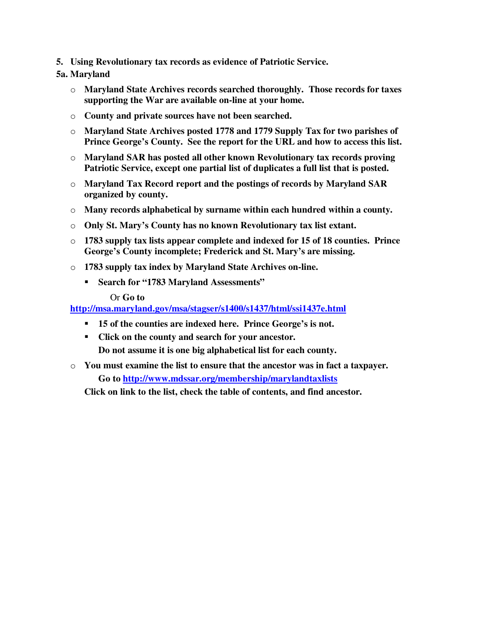**5. Using Revolutionary tax records as evidence of Patriotic Service.** 

# **5a. Maryland**

- o **Maryland State Archives records searched thoroughly. Those records for taxes supporting the War are available on-line at your home.**
- o **County and private sources have not been searched.**
- o **Maryland State Archives posted 1778 and 1779 Supply Tax for two parishes of Prince George's County. See the report for the URL and how to access this list.**
- o **Maryland SAR has posted all other known Revolutionary tax records proving Patriotic Service, except one partial list of duplicates a full list that is posted.**
- o **Maryland Tax Record report and the postings of records by Maryland SAR organized by county.**
- o **Many records alphabetical by surname within each hundred within a county.**
- o **Only St. Mary's County has no known Revolutionary tax list extant.**
- o **1783 supply tax lists appear complete and indexed for 15 of 18 counties. Prince George's County incomplete; Frederick and St. Mary's are missing.**
- o **1783 supply tax index by Maryland State Archives on-line.** 
	- **Search for "1783 Maryland Assessments"**

#### Or **Go to**

## **http://msa.maryland.gov/msa/stagser/s1400/s1437/html/ssi1437e.html**

- **15 of the counties are indexed here. Prince George's is not.**
- **Click on the county and search for your ancestor. Do not assume it is one big alphabetical list for each county.**
- o **You must examine the list to ensure that the ancestor was in fact a taxpayer. Go to http://www.mdssar.org/membership/marylandtaxlists**

**Click on link to the list, check the table of contents, and find ancestor.**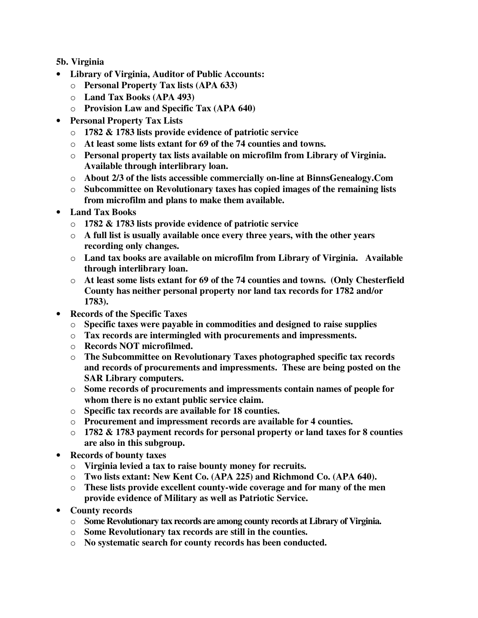**5b. Virginia** 

- **Library of Virginia, Auditor of Public Accounts:** 
	- o **Personal Property Tax lists (APA 633)**
	- o **Land Tax Books (APA 493)**
	- o **Provision Law and Specific Tax (APA 640)**
- **Personal Property Tax Lists** 
	- o **1782 & 1783 lists provide evidence of patriotic service**
	- o **At least some lists extant for 69 of the 74 counties and towns.**
	- o **Personal property tax lists available on microfilm from Library of Virginia. Available through interlibrary loan.**
	- o **About 2/3 of the lists accessible commercially on-line at BinnsGenealogy.Com**
	- o **Subcommittee on Revolutionary taxes has copied images of the remaining lists from microfilm and plans to make them available.**
- **Land Tax Books** 
	- o **1782 & 1783 lists provide evidence of patriotic service**
	- o **A full list is usually available once every three years, with the other years recording only changes.**
	- o **Land tax books are available on microfilm from Library of Virginia. Available through interlibrary loan.**
	- o **At least some lists extant for 69 of the 74 counties and towns. (Only Chesterfield County has neither personal property nor land tax records for 1782 and/or 1783).**
- **Records of the Specific Taxes** 
	- o **Specific taxes were payable in commodities and designed to raise supplies**
	- o **Tax records are intermingled with procurements and impressments.**
	- o **Records NOT microfilmed.**
	- o **The Subcommittee on Revolutionary Taxes photographed specific tax records and records of procurements and impressments. These are being posted on the SAR Library computers.**
	- o **Some records of procurements and impressments contain names of people for whom there is no extant public service claim.**
	- o **Specific tax records are available for 18 counties.**
	- o **Procurement and impressment records are available for 4 counties.**
	- o **1782 & 1783 payment records for personal property or land taxes for 8 counties are also in this subgroup.**
- **Records of bounty taxes** 
	- o **Virginia levied a tax to raise bounty money for recruits.**
	- o **Two lists extant: New Kent Co. (APA 225) and Richmond Co. (APA 640).**
	- o **These lists provide excellent county-wide coverage and for many of the men provide evidence of Military as well as Patriotic Service.**
- **County records** 
	- o **Some Revolutionary tax records are among county records at Library of Virginia.**
	- o **Some Revolutionary tax records are still in the counties.**
	- o **No systematic search for county records has been conducted.**